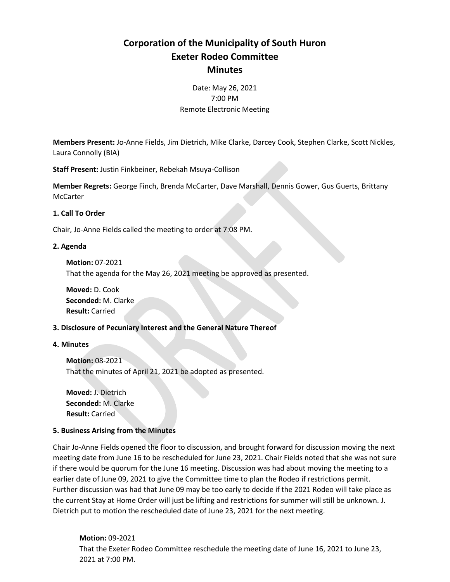# **Corporation of the Municipality of South Huron Exeter Rodeo Committee Minutes**

Date: May 26, 2021 7:00 PM Remote Electronic Meeting

**Members Present:** Jo-Anne Fields, Jim Dietrich, Mike Clarke, Darcey Cook, Stephen Clarke, Scott Nickles, Laura Connolly (BIA)

**Staff Present:** Justin Finkbeiner, Rebekah Msuya-Collison

**Member Regrets:** George Finch, Brenda McCarter, Dave Marshall, Dennis Gower, Gus Guerts, Brittany **McCarter** 

## **1. Call To Order**

Chair, Jo-Anne Fields called the meeting to order at 7:08 PM.

## **2. Agenda**

**Motion:** 07-2021

That the agenda for the May 26, 2021 meeting be approved as presented.

**Moved:** D. Cook **Seconded:** M. Clarke **Result:** Carried

## **3. Disclosure of Pecuniary Interest and the General Nature Thereof**

## **4. Minutes**

**Motion:** 08-2021 That the minutes of April 21, 2021 be adopted as presented.

**Moved:** J. Dietrich **Seconded:** M. Clarke **Result:** Carried

## **5. Business Arising from the Minutes**

Chair Jo-Anne Fields opened the floor to discussion, and brought forward for discussion moving the next meeting date from June 16 to be rescheduled for June 23, 2021. Chair Fields noted that she was not sure if there would be quorum for the June 16 meeting. Discussion was had about moving the meeting to a earlier date of June 09, 2021 to give the Committee time to plan the Rodeo if restrictions permit. Further discussion was had that June 09 may be too early to decide if the 2021 Rodeo will take place as the current Stay at Home Order will just be lifting and restrictions for summer will still be unknown. J. Dietrich put to motion the rescheduled date of June 23, 2021 for the next meeting.

**Motion:** 09-2021 That the Exeter Rodeo Committee reschedule the meeting date of June 16, 2021 to June 23, 2021 at 7:00 PM.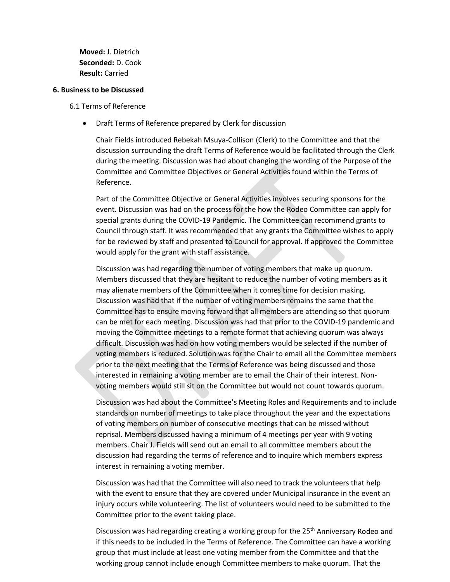**Moved:** J. Dietrich **Seconded:** D. Cook **Result:** Carried

#### **6. Business to be Discussed**

#### 6.1 Terms of Reference

• Draft Terms of Reference prepared by Clerk for discussion

Chair Fields introduced Rebekah Msuya-Collison (Clerk) to the Committee and that the discussion surrounding the draft Terms of Reference would be facilitated through the Clerk during the meeting. Discussion was had about changing the wording of the Purpose of the Committee and Committee Objectives or General Activities found within the Terms of Reference.

Part of the Committee Objective or General Activities involves securing sponsons for the event. Discussion was had on the process for the how the Rodeo Committee can apply for special grants during the COVID-19 Pandemic. The Committee can recommend grants to Council through staff. It was recommended that any grants the Committee wishes to apply for be reviewed by staff and presented to Council for approval. If approved the Committee would apply for the grant with staff assistance.

Discussion was had regarding the number of voting members that make up quorum. Members discussed that they are hesitant to reduce the number of voting members as it may alienate members of the Committee when it comes time for decision making. Discussion was had that if the number of voting members remains the same that the Committee has to ensure moving forward that all members are attending so that quorum can be met for each meeting. Discussion was had that prior to the COVID-19 pandemic and moving the Committee meetings to a remote format that achieving quorum was always difficult. Discussion was had on how voting members would be selected if the number of voting members is reduced. Solution was for the Chair to email all the Committee members prior to the next meeting that the Terms of Reference was being discussed and those interested in remaining a voting member are to email the Chair of their interest. Nonvoting members would still sit on the Committee but would not count towards quorum.

Discussion was had about the Committee's Meeting Roles and Requirements and to include standards on number of meetings to take place throughout the year and the expectations of voting members on number of consecutive meetings that can be missed without reprisal. Members discussed having a minimum of 4 meetings per year with 9 voting members. Chair J. Fields will send out an email to all committee members about the discussion had regarding the terms of reference and to inquire which members express interest in remaining a voting member.

Discussion was had that the Committee will also need to track the volunteers that help with the event to ensure that they are covered under Municipal insurance in the event an injury occurs while volunteering. The list of volunteers would need to be submitted to the Committee prior to the event taking place.

Discussion was had regarding creating a working group for the 25<sup>th</sup> Anniversary Rodeo and if this needs to be included in the Terms of Reference. The Committee can have a working group that must include at least one voting member from the Committee and that the working group cannot include enough Committee members to make quorum. That the